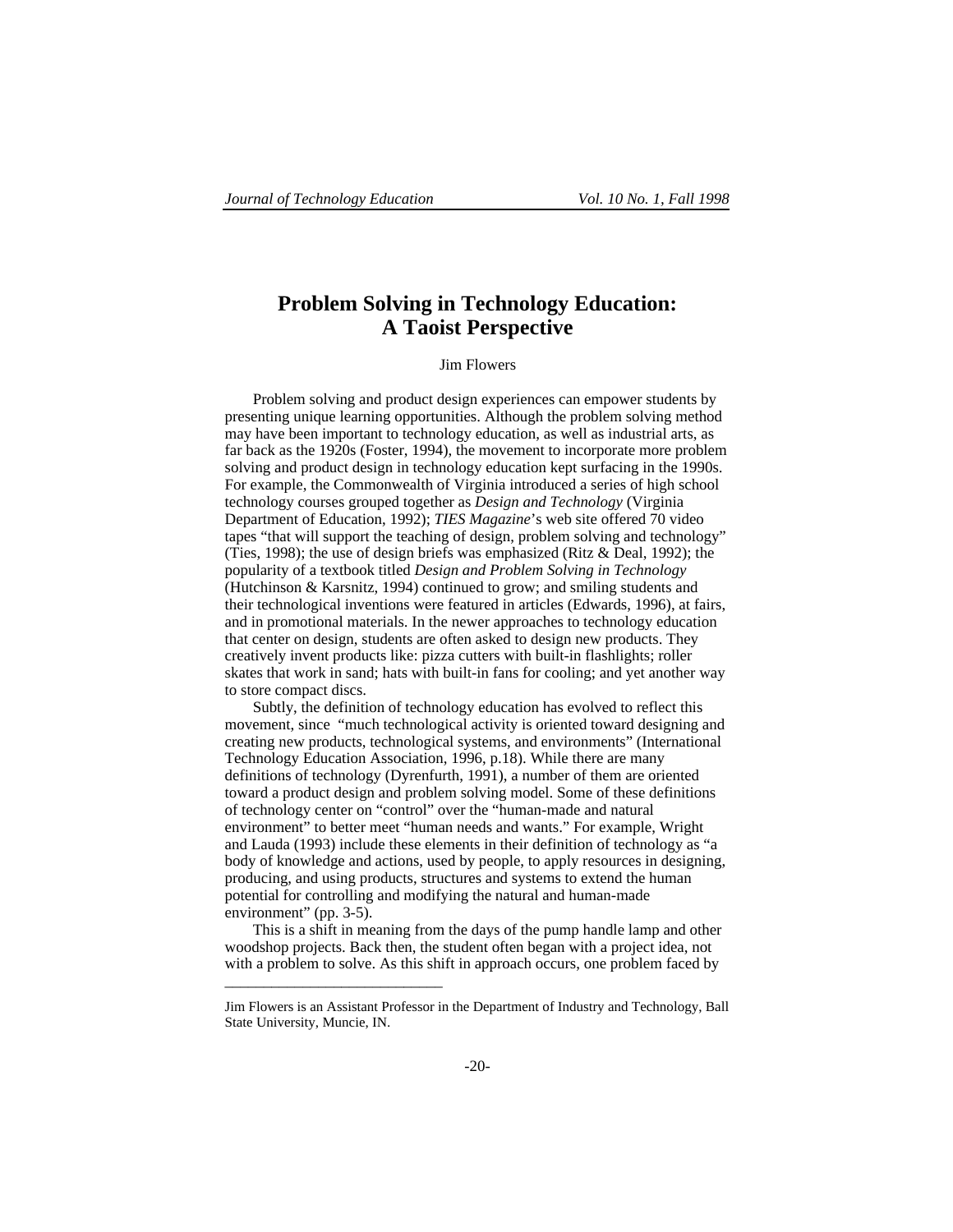## **Problem Solving in Technology Education: A Taoist Perspective**

## **Jim Flowers**

Problem solving and product design experiences can empower students by presenting unique learning opportunities. Although the problem solving method may have been important to technology education, as well as industrial arts, as far back as the 1920s (Foster, 1994), the movement to incorporate more problem solving and product design in technology education kept surfacing in the 1990s. For example, the Commonwealth of Virginia introduced a series of high school technology courses grouped together as *Design and Technology* (Virginia Department of Education, 1992); *TIES Magazine*'s web site offered 70 video tapes "that will support the teaching of design, problem solving and technology" (Ties, 1998); the use of design briefs was emphasized (Ritz & Deal, 1992); the popularity of a textbook titled *Design and Problem Solving in Technology* (Hutchinson & Karsnitz, 1994) continued to grow; and smiling students and their technological inventions were featured in articles (Edwards, 1996), at fairs, and in promotional materials. In the newer approaches to technology education that center on design, students are often asked to design new products. They creatively invent products like: pizza cutters with built-in flashlights; roller skates that work in sand; hats with built-in fans for cooling; and yet another way to store compact discs.

Subtly, the definition of technology education has evolved to reflect this movement, since "much technological activity is oriented toward designing and creating new products, technological systems, and environments" (International Technology Education Association, 1996, p.18). While there are many definitions of technology (Dyrenfurth, 1991), a number of them are oriented toward a product design and problem solving model. Some of these definitions of technology center on "control" over the "human-made and natural environment" to better meet "human needs and wants." For example, Wright and Lauda (1993) include these elements in their definition of technology as "a body of knowledge and actions, used by people, to apply resources in designing, producing, and using products, structures and systems to extend the human potential for controlling and modifying the natural and human-made environment" (pp. 3-5).

This is a shift in meaning from the days of the pump handle lamp and other woodshop projects. Back then, the student often began with a project idea, not with a problem to solve. As this shift in approach occurs, one problem faced by

\_\_\_\_\_\_\_\_\_\_\_\_\_\_\_\_\_\_\_\_\_\_\_\_\_\_\_\_

Jim Flowers is an Assistant Professor in the Department of Industry and Technology, Ball State University, Muncie, IN.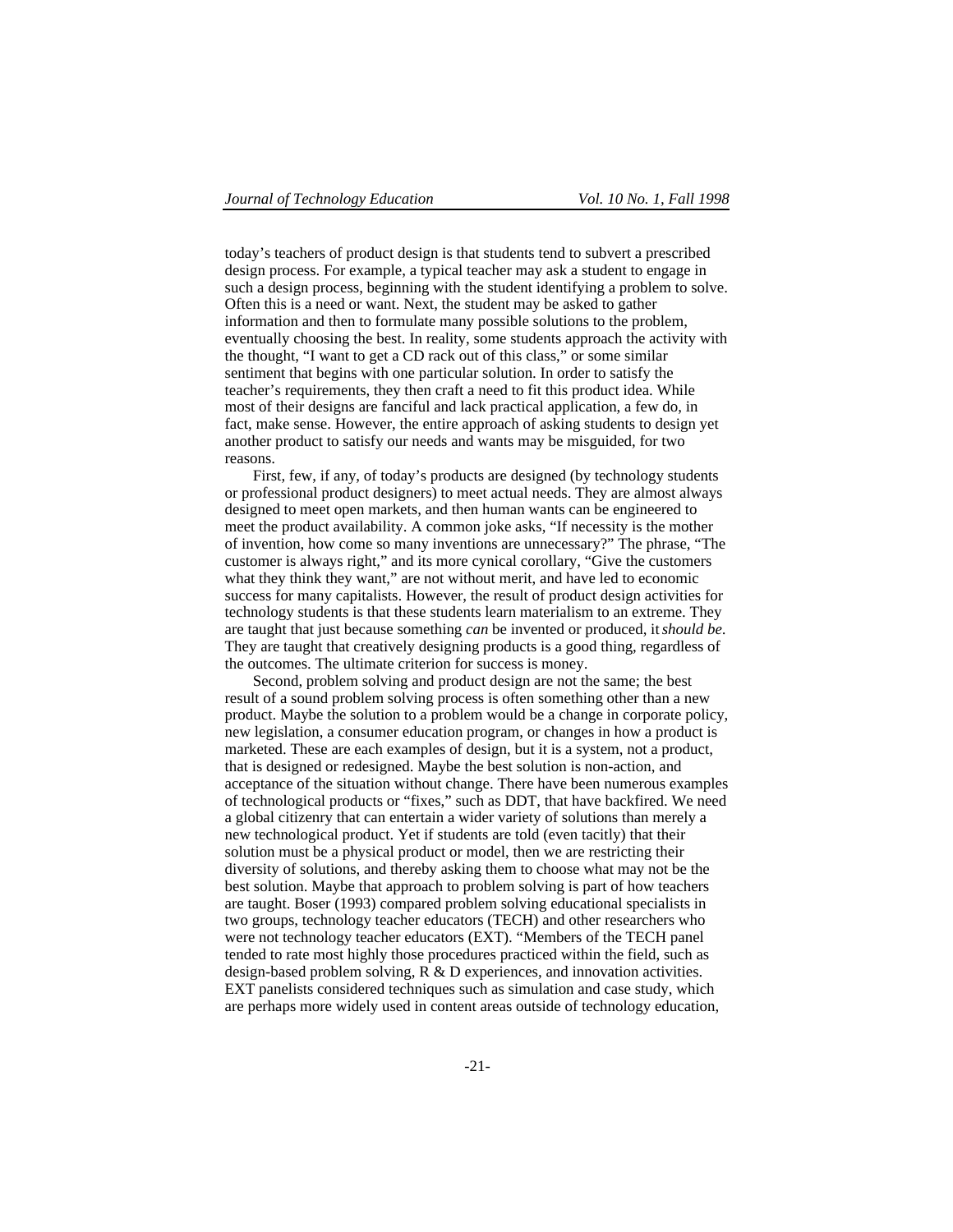today's teachers of product design is that students tend to subvert a prescribed design process. For example, a typical teacher may ask a student to engage in such a design process, beginning with the student identifying a problem to solve. Often this is a need or want. Next, the student may be asked to gather information and then to formulate many possible solutions to the problem, eventually choosing the best. In reality, some students approach the activity with the thought, "I want to get a CD rack out of this class," or some similar sentiment that begins with one particular solution. In order to satisfy the teacher's requirements, they then craft a need to fit this product idea. While most of their designs are fanciful and lack practical application, a few do, in fact, make sense. However, the entire approach of asking students to design yet another product to satisfy our needs and wants may be misguided, for two reasons.

First, few, if any, of today's products are designed (by technology students or professional product designers) to meet actual needs. They are almost always designed to meet open markets, and then human wants can be engineered to meet the product availability. A common joke asks, "If necessity is the mother of invention, how come so many inventions are unnecessary?" The phrase, "The customer is always right," and its more cynical corollary, "Give the customers what they think they want," are not without merit, and have led to economic success for many capitalists. However, the result of product design activities for technology students is that these students learn materialism to an extreme. They are taught that just because something *can* be invented or produced, it *should be*. They are taught that creatively designing products is a good thing, regardless of the outcomes. The ultimate criterion for success is money.

Second, problem solving and product design are not the same; the best result of a sound problem solving process is often something other than a new product. Maybe the solution to a problem would be a change in corporate policy, new legislation, a consumer education program, or changes in how a product is marketed. These are each examples of design, but it is a system, not a product, that is designed or redesigned. Maybe the best solution is non-action, and acceptance of the situation without change. There have been numerous examples of technological products or "fixes," such as DDT, that have backfired. We need a global citizenry that can entertain a wider variety of solutions than merely a new technological product. Yet if students are told (even tacitly) that their solution must be a physical product or model, then we are restricting their diversity of solutions, and thereby asking them to choose what may not be the best solution. Maybe that approach to problem solving is part of how teachers are taught. Boser (1993) compared problem solving educational specialists in two groups, technology teacher educators (TECH) and other researchers who were not technology teacher educators (EXT). "Members of the TECH panel tended to rate most highly those procedures practiced within the field, such as design-based problem solving, R & D experiences, and innovation activities. EXT panelists considered techniques such as simulation and case study, which are perhaps more widely used in content areas outside of technology education,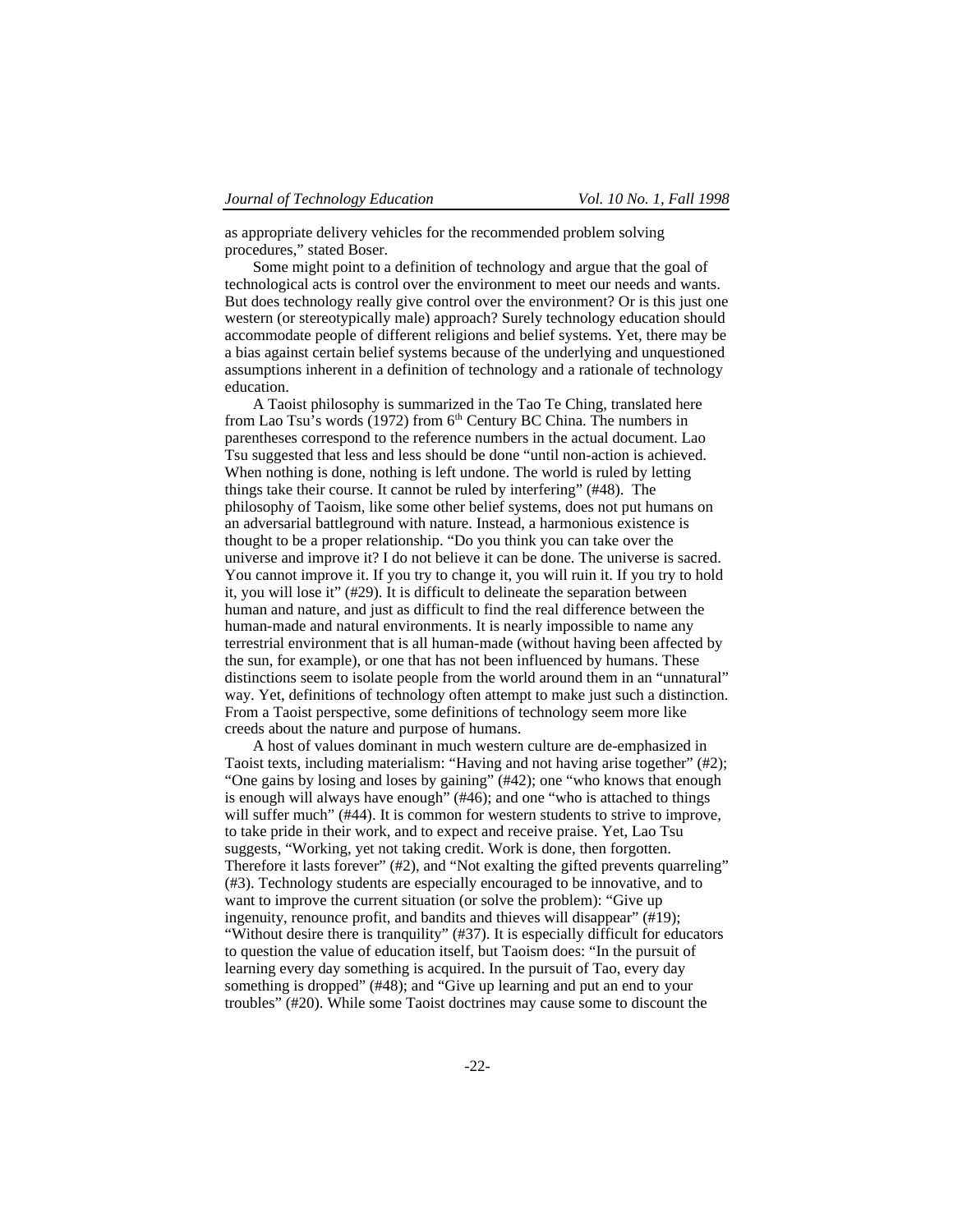as appropriate delivery vehicles for the recommended problem solving procedures," stated Boser.

Some might point to a definition of technology and argue that the goal of technological acts is control over the environment to meet our needs and wants. But does technology really give control over the environment? Or is this just one western (or stereotypically male) approach? Surely technology education should accommodate people of different religions and belief systems. Yet, there may be a bias against certain belief systems because of the underlying and unquestioned assumptions inherent in a definition of technology and a rationale of technology education.

A Taoist philosophy is summarized in the Tao Te Ching, translated here from Lao Tsu's words (1972) from  $6<sup>th</sup>$  Century BC China. The numbers in parentheses correspond to the reference numbers in the actual document. Lao Tsu suggested that less and less should be done "until non-action is achieved. When nothing is done, nothing is left undone. The world is ruled by letting things take their course. It cannot be ruled by interfering" (#48). The philosophy of Taoism, like some other belief systems, does not put humans on an adversarial battleground with nature. Instead, a harmonious existence is thought to be a proper relationship. "Do you think you can take over the universe and improve it? I do not believe it can be done. The universe is sacred. You cannot improve it. If you try to change it, you will ruin it. If you try to hold it, you will lose it" (#29). It is difficult to delineate the separation between human and nature, and just as difficult to find the real difference between the human-made and natural environments. It is nearly impossible to name any terrestrial environment that is all human-made (without having been affected by the sun, for example), or one that has not been influenced by humans. These distinctions seem to isolate people from the world around them in an "unnatural" way. Yet, definitions of technology often attempt to make just such a distinction. From a Taoist perspective, some definitions of technology seem more like creeds about the nature and purpose of humans.

A host of values dominant in much western culture are de-emphasized in Taoist texts, including materialism: "Having and not having arise together" (#2); "One gains by losing and loses by gaining" (#42); one "who knows that enough is enough will always have enough" (#46); and one "who is attached to things will suffer much" (#44). It is common for western students to strive to improve, to take pride in their work, and to expect and receive praise. Yet, Lao Tsu suggests, "Working, yet not taking credit. Work is done, then forgotten. Therefore it lasts forever" (#2), and "Not exalting the gifted prevents quarreling" (#3). Technology students are especially encouraged to be innovative, and to want to improve the current situation (or solve the problem): "Give up ingenuity, renounce profit, and bandits and thieves will disappear" (#19); "Without desire there is tranquility" (#37). It is especially difficult for educators to question the value of education itself, but Taoism does: "In the pursuit of learning every day something is acquired. In the pursuit of Tao, every day something is dropped" (#48); and "Give up learning and put an end to your troubles" (#20). While some Taoist doctrines may cause some to discount the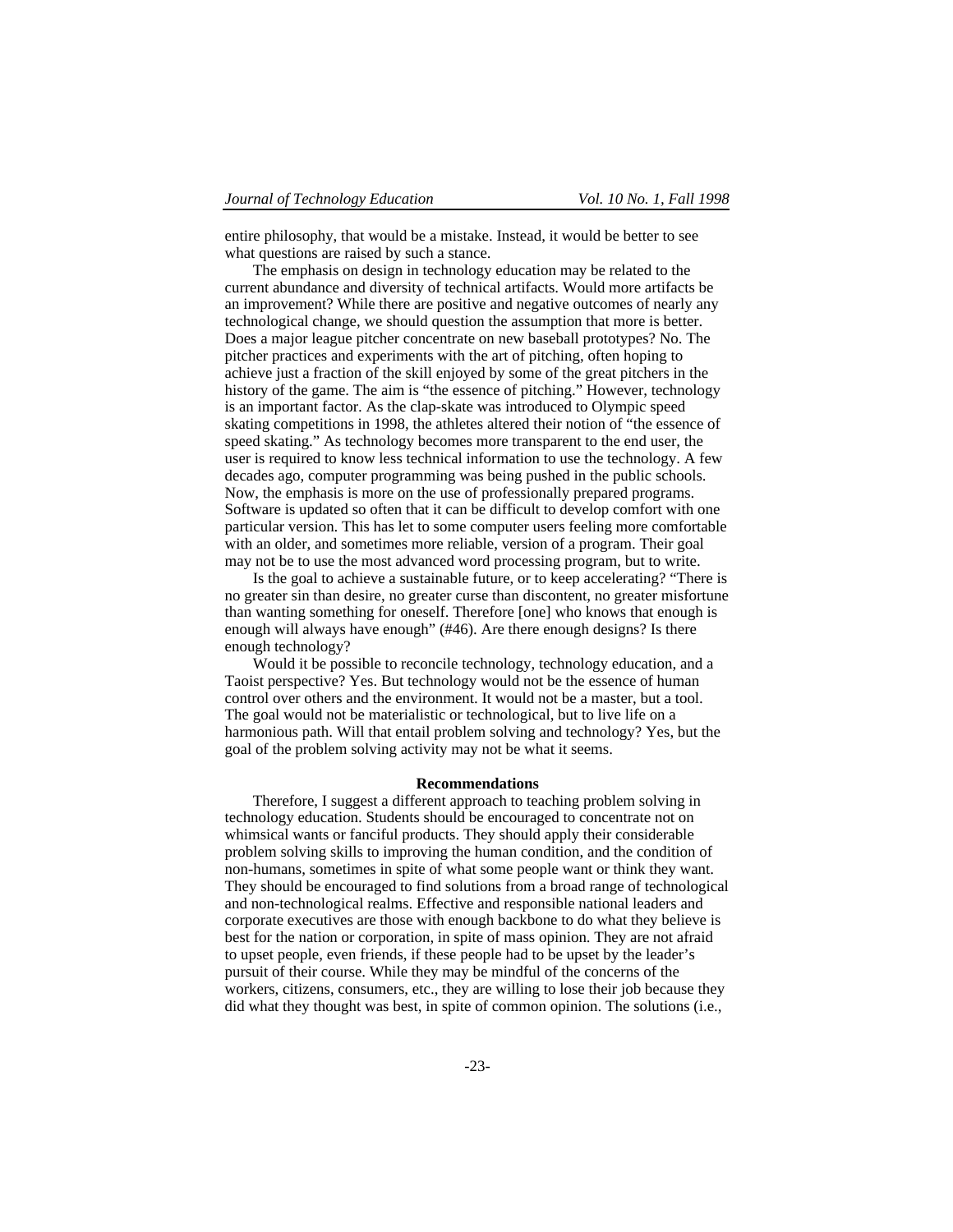entire philosophy, that would be a mistake. Instead, it would be better to see what questions are raised by such a stance.

The emphasis on design in technology education may be related to the current abundance and diversity of technical artifacts. Would more artifacts be an improvement? While there are positive and negative outcomes of nearly any technological change, we should question the assumption that more is better. Does a major league pitcher concentrate on new baseball prototypes? No. The pitcher practices and experiments with the art of pitching, often hoping to achieve just a fraction of the skill enjoyed by some of the great pitchers in the history of the game. The aim is "the essence of pitching." However, technology is an important factor. As the clap-skate was introduced to Olympic speed skating competitions in 1998, the athletes altered their notion of "the essence of speed skating." As technology becomes more transparent to the end user, the user is required to know less technical information to use the technology. A few decades ago, computer programming was being pushed in the public schools. Now, the emphasis is more on the use of professionally prepared programs. Software is updated so often that it can be difficult to develop comfort with one particular version. This has let to some computer users feeling more comfortable with an older, and sometimes more reliable, version of a program. Their goal may not be to use the most advanced word processing program, but to write.

Is the goal to achieve a sustainable future, or to keep accelerating? "There is no greater sin than desire, no greater curse than discontent, no greater misfortune than wanting something for oneself. Therefore [one] who knows that enough is enough will always have enough" (#46). Are there enough designs? Is there enough technology?

Would it be possible to reconcile technology, technology education, and a Taoist perspective? Yes. But technology would not be the essence of human control over others and the environment. It would not be a master, but a tool. The goal would not be materialistic or technological, but to live life on a harmonious path. Will that entail problem solving and technology? Yes, but the goal of the problem solving activity may not be what it seems.

## **Recommendations**

Therefore, I suggest a different approach to teaching problem solving in technology education. Students should be encouraged to concentrate not on whimsical wants or fanciful products. They should apply their considerable problem solving skills to improving the human condition, and the condition of non-humans, sometimes in spite of what some people want or think they want. They should be encouraged to find solutions from a broad range of technological and non-technological realms. Effective and responsible national leaders and corporate executives are those with enough backbone to do what they believe is best for the nation or corporation, in spite of mass opinion. They are not afraid to upset people, even friends, if these people had to be upset by the leader's pursuit of their course. While they may be mindful of the concerns of the workers, citizens, consumers, etc., they are willing to lose their job because they did what they thought was best, in spite of common opinion. The solutions (i.e.,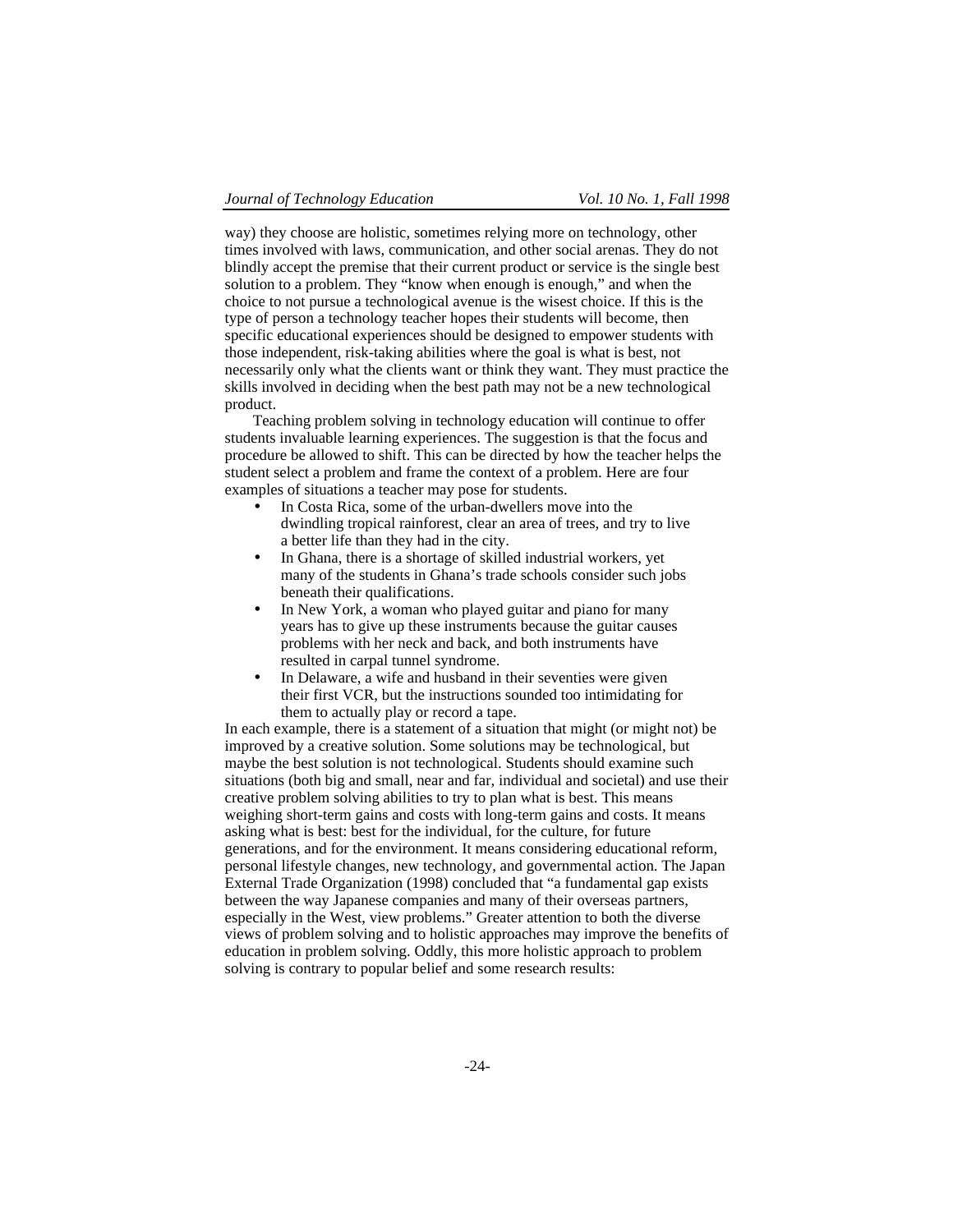way) they choose are holistic, sometimes relying more on technology, other times involved with laws, communication, and other social arenas. They do not blindly accept the premise that their current product or service is the single best solution to a problem. They "know when enough is enough," and when the choice to not pursue a technological avenue is the wisest choice. If this is the type of person a technology teacher hopes their students will become, then specific educational experiences should be designed to empower students with those independent, risk-taking abilities where the goal is what is best, not necessarily only what the clients want or think they want. They must practice the skills involved in deciding when the best path may not be a new technological product.

Teaching problem solving in technology education will continue to offer students invaluable learning experiences. The suggestion is that the focus and procedure be allowed to shift. This can be directed by how the teacher helps the student select a problem and frame the context of a problem. Here are four examples of situations a teacher may pose for students.

- In Costa Rica, some of the urban-dwellers move into the dwindling tropical rainforest, clear an area of trees, and try to live a better life than they had in the city.
- In Ghana, there is a shortage of skilled industrial workers, yet many of the students in Ghana's trade schools consider such jobs beneath their qualifications.
- In New York, a woman who played guitar and piano for many years has to give up these instruments because the guitar causes problems with her neck and back, and both instruments have resulted in carpal tunnel syndrome.
- In Delaware, a wife and husband in their seventies were given their first VCR, but the instructions sounded too intimidating for them to actually play or record a tape.

In each example, there is a statement of a situation that might (or might not) be improved by a creative solution. Some solutions may be technological, but maybe the best solution is not technological. Students should examine such situations (both big and small, near and far, individual and societal) and use their creative problem solving abilities to try to plan what is best. This means weighing short-term gains and costs with long-term gains and costs. It means asking what is best: best for the individual, for the culture, for future generations, and for the environment. It means considering educational reform, personal lifestyle changes, new technology, and governmental action. The Japan External Trade Organization (1998) concluded that "a fundamental gap exists between the way Japanese companies and many of their overseas partners, especially in the West, view problems." Greater attention to both the diverse views of problem solving and to holistic approaches may improve the benefits of education in problem solving. Oddly, this more holistic approach to problem solving is contrary to popular belief and some research results: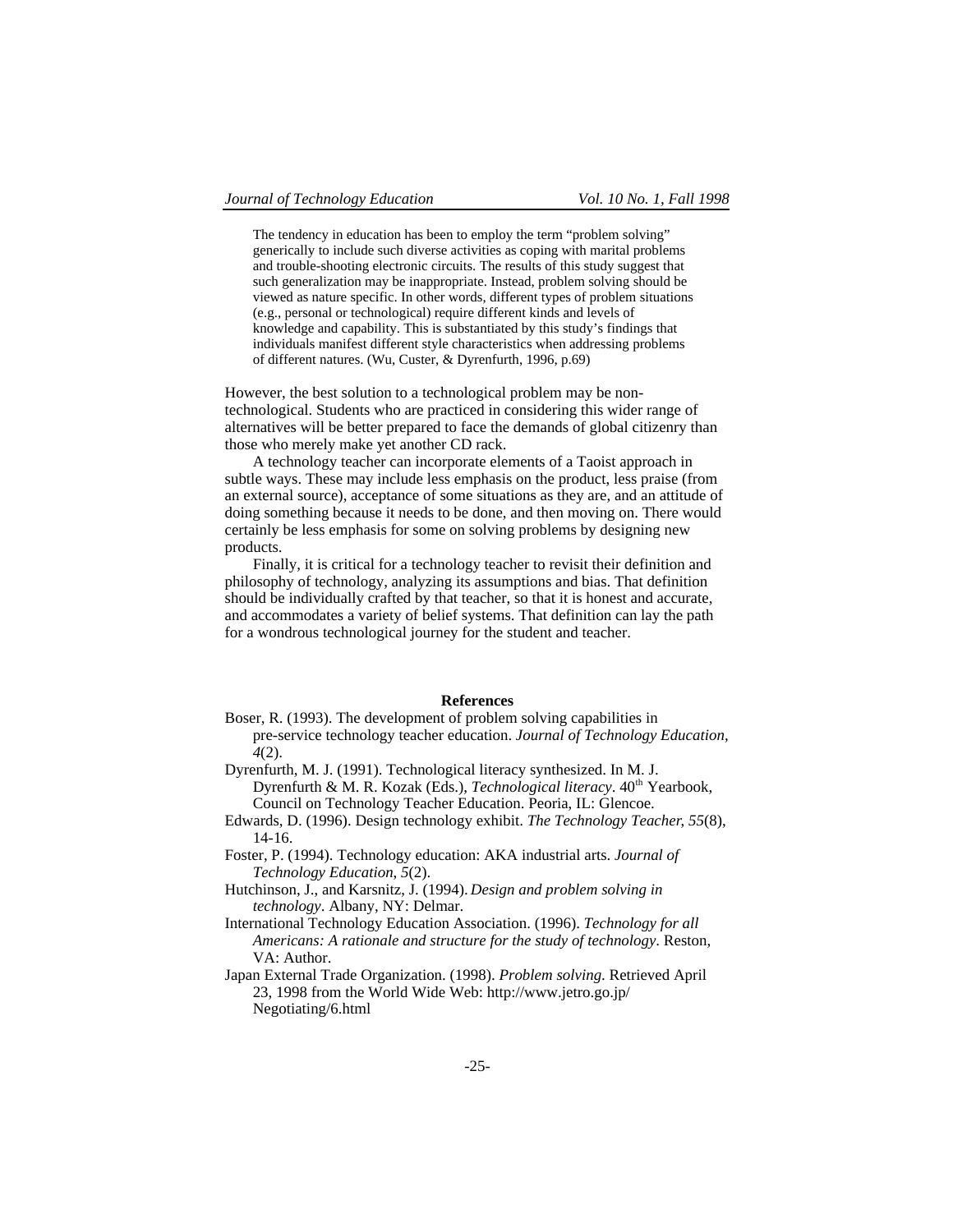The tendency in education has been to employ the term "problem solving" generically to include such diverse activities as coping with marital problems and trouble-shooting electronic circuits. The results of this study suggest that such generalization may be inappropriate. Instead, problem solving should be viewed as nature specific. In other words, different types of problem situations (e.g., personal or technological) require different kinds and levels of knowledge and capability. This is substantiated by this study's findings that individuals manifest different style characteristics when addressing problems of different natures. (Wu, Custer, & Dyrenfurth, 1996, p.69)

However, the best solution to a technological problem may be nontechnological. Students who are practiced in considering this wider range of alternatives will be better prepared to face the demands of global citizenry than those who merely make yet another CD rack.

A technology teacher can incorporate elements of a Taoist approach in subtle ways. These may include less emphasis on the product, less praise (from an external source), acceptance of some situations as they are, and an attitude of doing something because it needs to be done, and then moving on. There would certainly be less emphasis for some on solving problems by designing new products.

Finally, it is critical for a technology teacher to revisit their definition and philosophy of technology, analyzing its assumptions and bias. That definition should be individually crafted by that teacher, so that it is honest and accurate, and accommodates a variety of belief systems. That definition can lay the path for a wondrous technological journey for the student and teacher.

## **References**

- Boser, R. (1993). The development of problem solving capabilities in pre-service technology teacher education. *Journal of Technology Education*, *4*(2).
- Dyrenfurth, M. J. (1991). Technological literacy synthesized. In M. J. Dyrenfurth & M. R. Kozak (Eds.), *Technological literacy*. 40<sup>th</sup> Yearbook, Council on Technology Teacher Education. Peoria, IL: Glencoe.
- Edwards, D. (1996). Design technology exhibit. *The Technology Teacher*, *55*(8), 14-16.
- Foster, P. (1994). Technology education: AKA industrial arts. *Journal of Technology Education*, *5*(2).
- Hutchinson, J., and Karsnitz, J. (1994). *Design and problem solving in technology*. Albany, NY: Delmar.
- International Technology Education Association. (1996). *Technology for all Americans: A rationale and structure for the study of technology*. Reston, VA: Author.
- Japan External Trade Organization. (1998). *Problem solving*. Retrieved April 23, 1998 from the World Wide Web: http://www.jetro.go.jp/ Negotiating/6.html